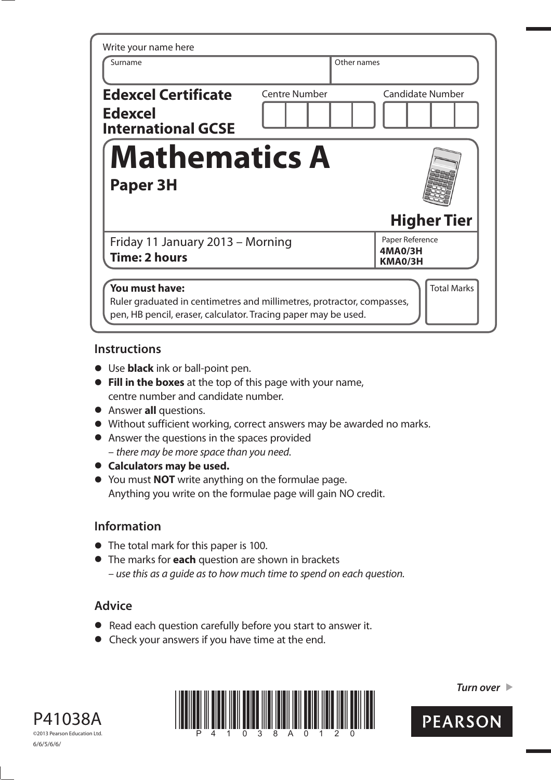| Write your name here                                                      |                      |                                       |
|---------------------------------------------------------------------------|----------------------|---------------------------------------|
| Surname                                                                   | Other names          |                                       |
| <b>Edexcel Certificate</b><br><b>Edexcel</b><br><b>International GCSE</b> | <b>Centre Number</b> | <b>Candidate Number</b>               |
| <b>Mathematics A</b><br>Paper 3H                                          |                      |                                       |
|                                                                           |                      |                                       |
|                                                                           |                      | <b>Higher Tier</b>                    |
| Friday 11 January 2013 - Morning<br><b>Time: 2 hours</b>                  |                      | Paper Reference<br>4MA0/3H<br>KMA0/3H |
| You must have:                                                            |                      | <b>Total Marks</b>                    |

### **Instructions**

- **•** Use **black** ink or ball-point pen.
- **Fill in the boxes** at the top of this page with your name, centre number and candidate number.
- **•** Answer **all** questions.
- **t** Without sufficient working, correct answers may be awarded no marks.
- **•** Answer the questions in the spaces provided – there may be more space than you need.
- $\bullet$  Calculators may be used.
- **t** You must **NOT** write anything on the formulae page. Anything you write on the formulae page will gain NO credit.

## **Information**

- **•** The total mark for this paper is 100.
- **t** The marks for **each** question are shown in brackets – use this as a guide as to how much time to spend on each question.

# **Advice**

- **t** Read each question carefully before you start to answer it.
- **•** Check your answers if you have time at the end.

P41038A ©2013 Pearson Education Ltd. 6/6/5/6/6/



*Turn over* 

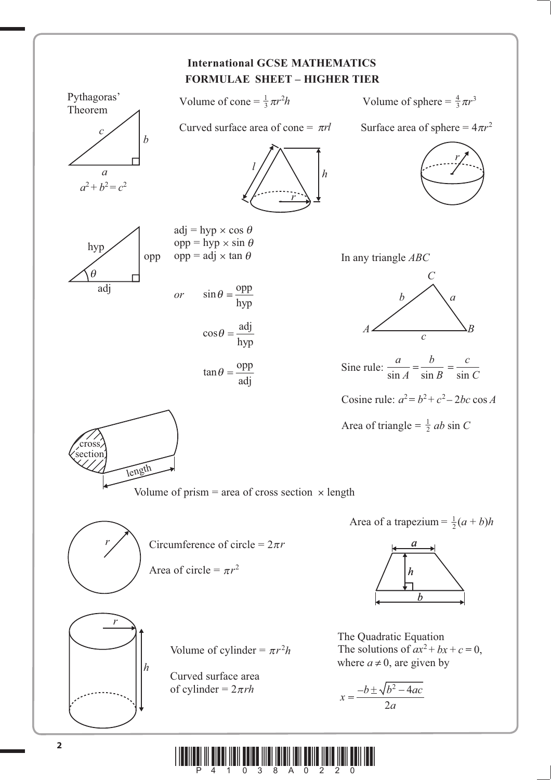

**ay area dan fan fan fan fan fan fan fan fan fan III**I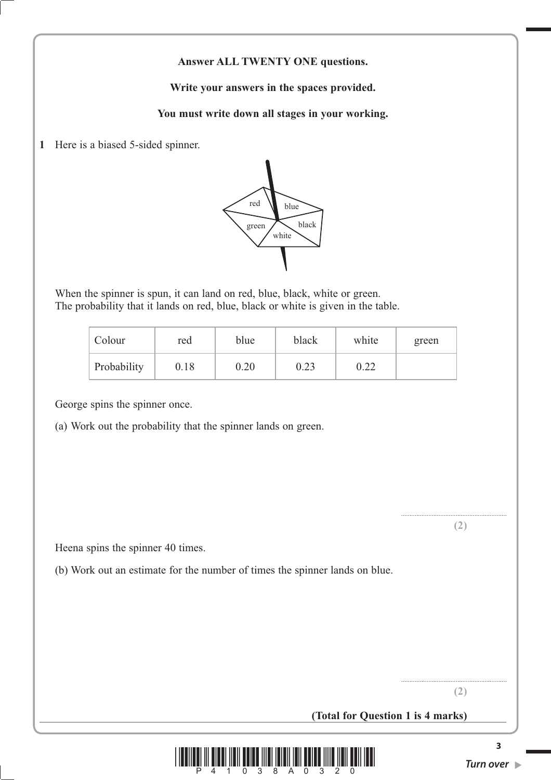### **Answer ALL TWENTY ONE questions.**

**Write your answers in the spaces provided.**

**You must write down all stages in your working.**

**1** Here is a biased 5-sided spinner.



 When the spinner is spun, it can land on red, blue, black, white or green. The probability that it lands on red, blue, black or white is given in the table.

| Colour      | red      | blue | black | white | green |
|-------------|----------|------|-------|-------|-------|
| Probability | $0.18\,$ | 0.20 | 0.23  | 0.22  |       |

George spins the spinner once.

(a) Work out the probability that the spinner lands on green.

**(2)**

..............................................................

Heena spins the spinner 40 times.

(b) Work out an estimate for the number of times the spinner lands on blue.

.............................................................. **(2)**

**(Total for Question 1 is 4 marks)**



**3**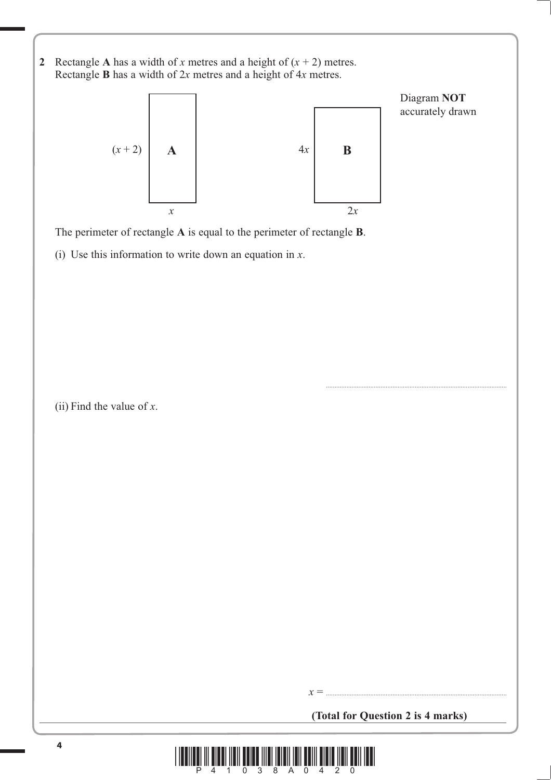**2** Rectangle **A** has a width of *x* metres and a height of  $(x + 2)$  metres. Rectangle **B** has a width of 2*x* metres and a height of 4*x* metres.



The perimeter of rectangle **A** is equal to the perimeter of rectangle **B**.

(i) Use this information to write down an equation in *x*.

(ii) Find the value of *x*.

**(Total for Question 2 is 4 marks)**

*x* = ..........................................................................................................

..........................................................................................................

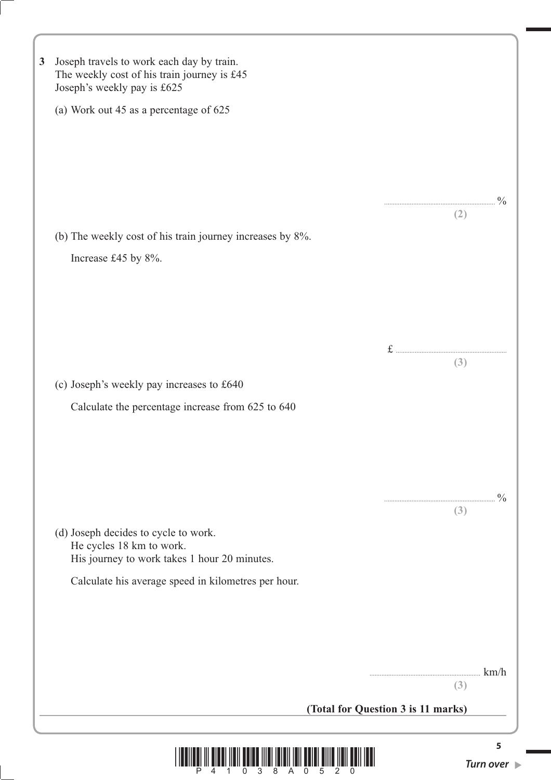| $\mathbf{3}$ | Joseph travels to work each day by train.<br>The weekly cost of his train journey is £45<br>Joseph's weekly pay is £625 |
|--------------|-------------------------------------------------------------------------------------------------------------------------|
|              | (a) Work out 45 as a percentage of 625                                                                                  |
|              |                                                                                                                         |
|              |                                                                                                                         |
|              |                                                                                                                         |
|              | (2)                                                                                                                     |
|              | (b) The weekly cost of his train journey increases by 8%.<br>Increase £45 by 8%.                                        |
|              |                                                                                                                         |
|              |                                                                                                                         |
|              |                                                                                                                         |
|              | (3)                                                                                                                     |
|              | (c) Joseph's weekly pay increases to £640                                                                               |
|              | Calculate the percentage increase from 625 to 640                                                                       |
|              |                                                                                                                         |
|              |                                                                                                                         |
|              |                                                                                                                         |
|              | $\frac{0}{0}$<br>(3)                                                                                                    |
|              | (d) Joseph decides to cycle to work.<br>He cycles 18 km to work.                                                        |
|              | His journey to work takes 1 hour 20 minutes.                                                                            |
|              | Calculate his average speed in kilometres per hour.                                                                     |
|              |                                                                                                                         |
|              |                                                                                                                         |
|              | km/h                                                                                                                    |
|              | (3)                                                                                                                     |
|              | (Total for Question 3 is 11 marks)                                                                                      |
|              | 5                                                                                                                       |
|              | Turn over $\blacktriangleright$<br>3<br>8<br>$\Omega$<br>A 0                                                            |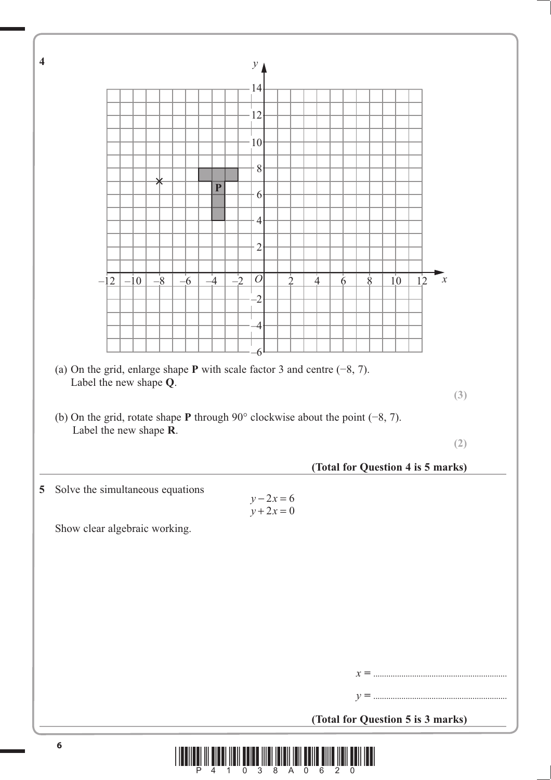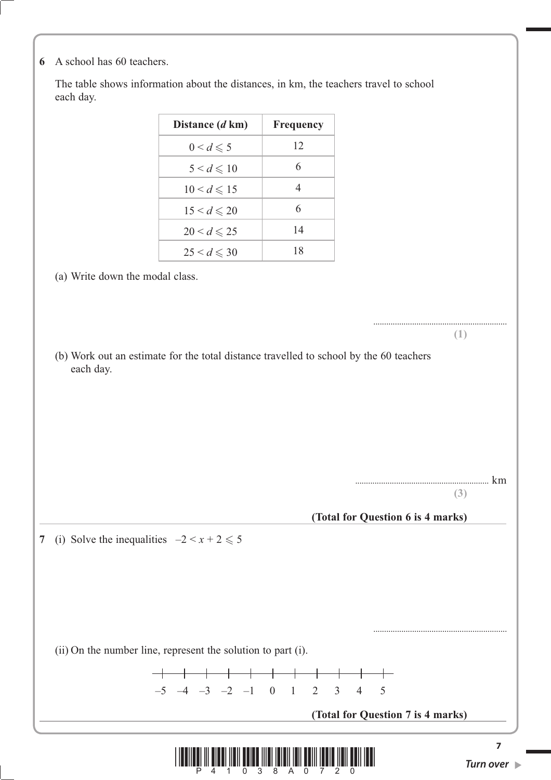**6** A school has 60 teachers.

 The table shows information about the distances, in km, the teachers travel to school each day.

| Distance (d km)       | <b>Frequency</b> |
|-----------------------|------------------|
| $0 < d \leqslant 5$   | 12               |
| $5 < d \leqslant 10$  | 6                |
| $10 < d \leq 15$      | 4                |
| $15 < d \le 20$       | 6                |
| $20 < d \leqslant 25$ | 14               |
| $25 < d \leq 30$      | 18               |

(a) Write down the modal class.

 (b) Work out an estimate for the total distance travelled to school by the 60 teachers each day.

**..............................................................** km

**..............................................................**

**..............................................................**

**(1)**

**(3)**

**(Total for Question 6 is 4 marks)**

**7** (i) Solve the inequalities  $-2 < x + 2 \le 5$ 

(ii) On the number line, represent the solution to part (i).



**(Total for Question 7 is 4 marks)**

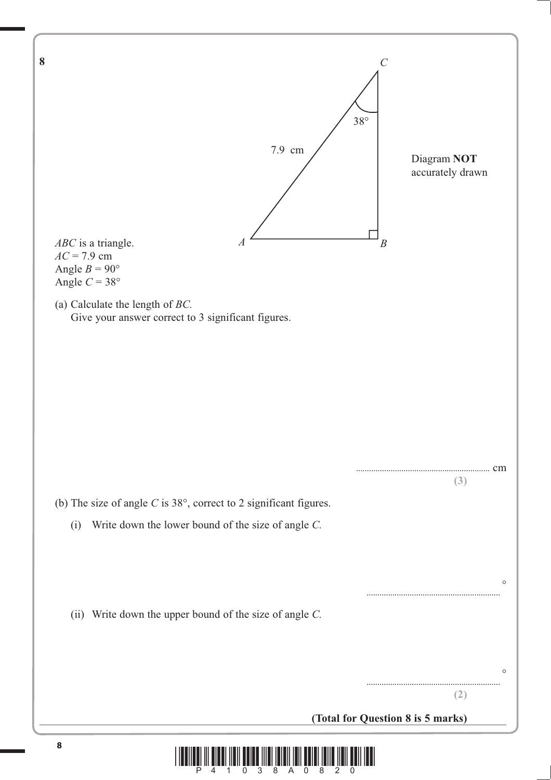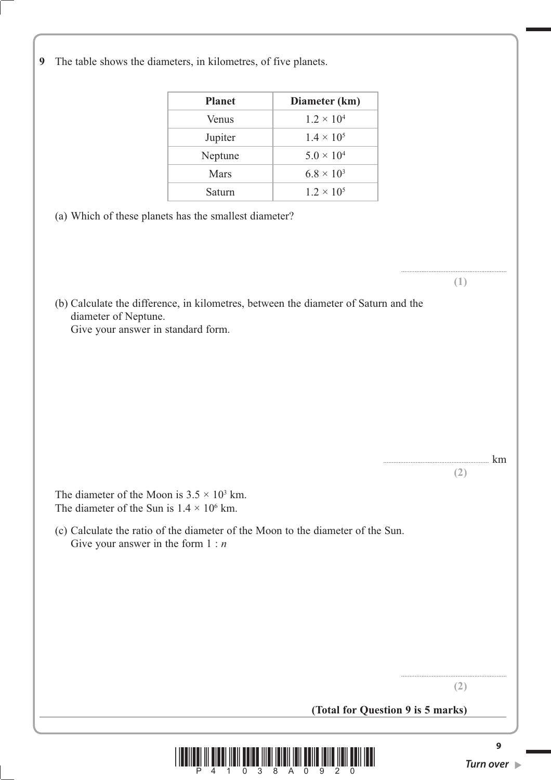**9** The table shows the diameters, in kilometres, of five planets.

| <b>Planet</b> | Diameter (km)       |
|---------------|---------------------|
| Venus         | $1.2 \times 10^{4}$ |
| Jupiter       | $1.4 \times 10^{5}$ |
| Neptune       | $5.0 \times 10^{4}$ |
| Mars          | $6.8 \times 10^{3}$ |
| Saturn        | $1.2 \times 10^{5}$ |

- (a) Which of these planets has the smallest diameter?
- (b) Calculate the difference, in kilometres, between the diameter of Saturn and the diameter of Neptune. Give your answer in standard form.

The diameter of the Moon is  $3.5 \times 10^3$  km. The diameter of the Sun is  $1.4 \times 10^6$  km.

 (c) Calculate the ratio of the diameter of the Moon to the diameter of the Sun. Give your answer in the form 1 : *n*

**(Total for Question 9 is 5 marks)**



.............................................................. **(1)**

.............................................................. km

**(2)**

.............................................................. **(2)**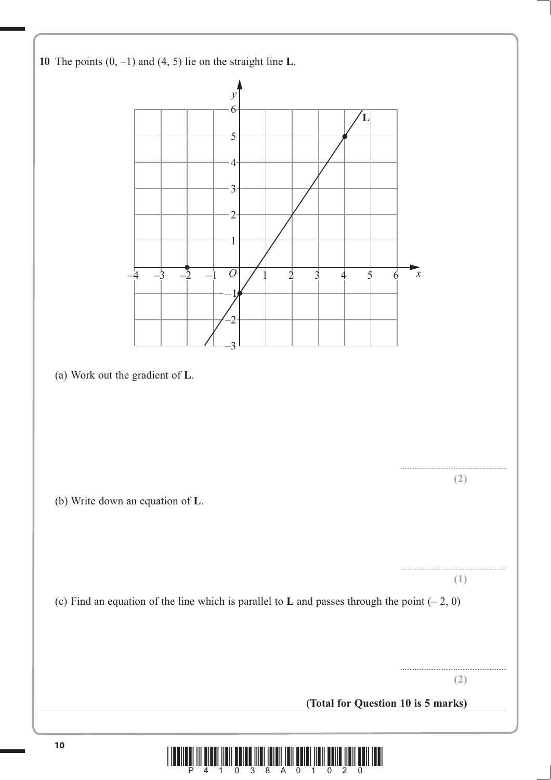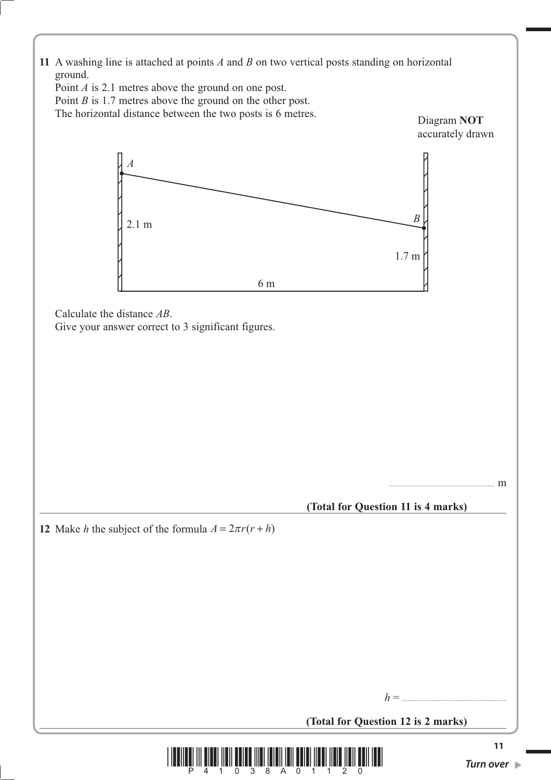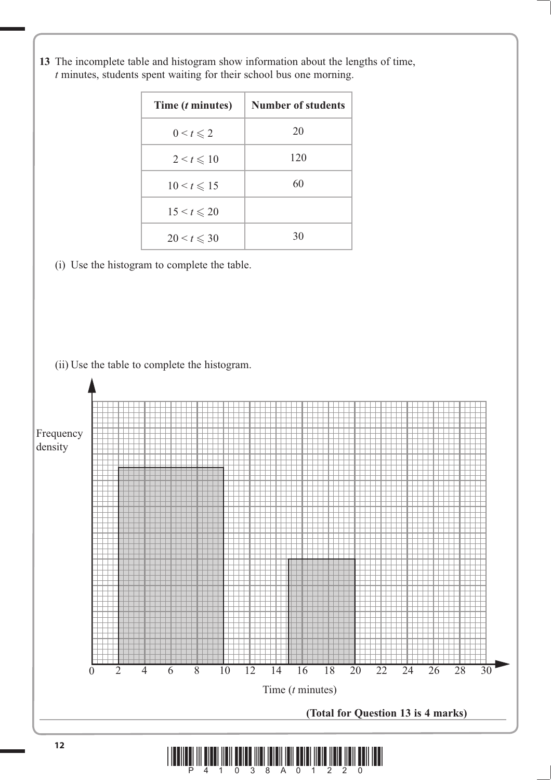| Time ( <i>t</i> minutes) | Number of students |
|--------------------------|--------------------|
| $0 \leq t \leq 2$        | 20                 |
| $2 \leq t \leq 10$       | 120                |
| $10 < t \le 15$          | 60                 |
| $15 < t \le 20$          |                    |
| $20 < t \le 30$          | 30                 |

**13** The incomplete table and histogram show information about the lengths of time, *t* minutes, students spent waiting for their school bus one morning.

(i) Use the histogram to complete the table.

(ii) Use the table to complete the histogram.

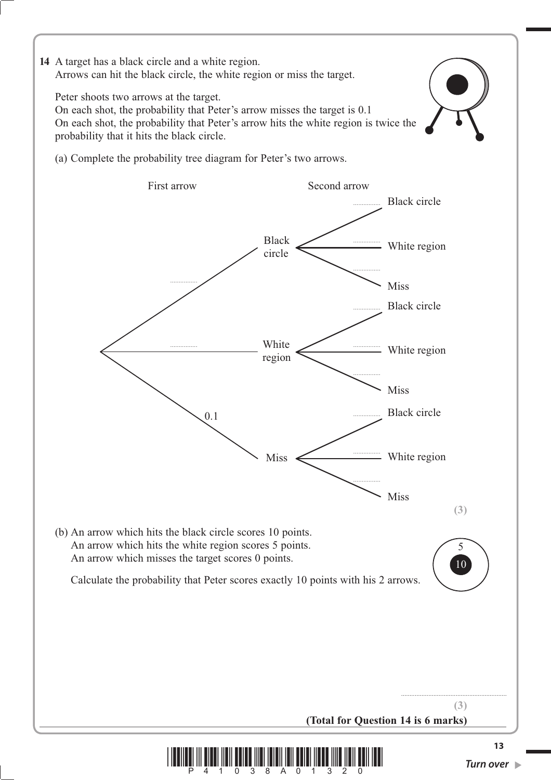**14** A target has a black circle and a white region. Arrows can hit the black circle, the white region or miss the target.

Peter shoots two arrows at the target.

 On each shot, the probability that Peter's arrow misses the target is 0.1 On each shot, the probability that Peter's arrow hits the white region is twice the probability that it hits the black circle.





-3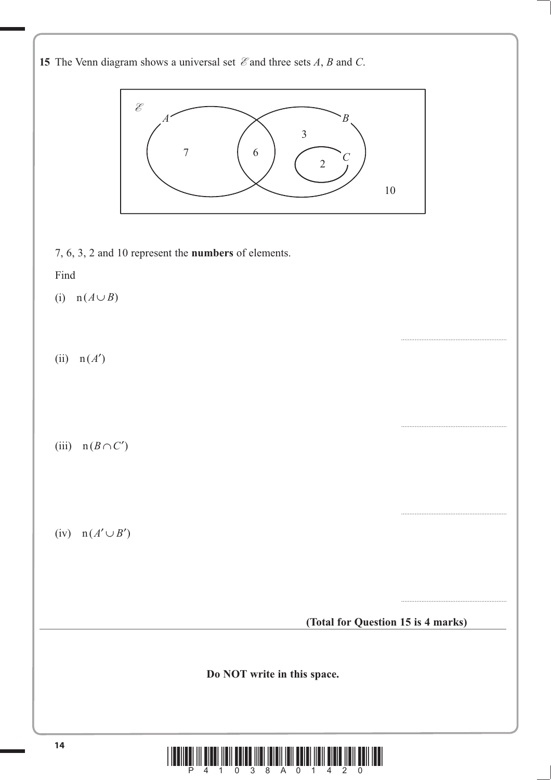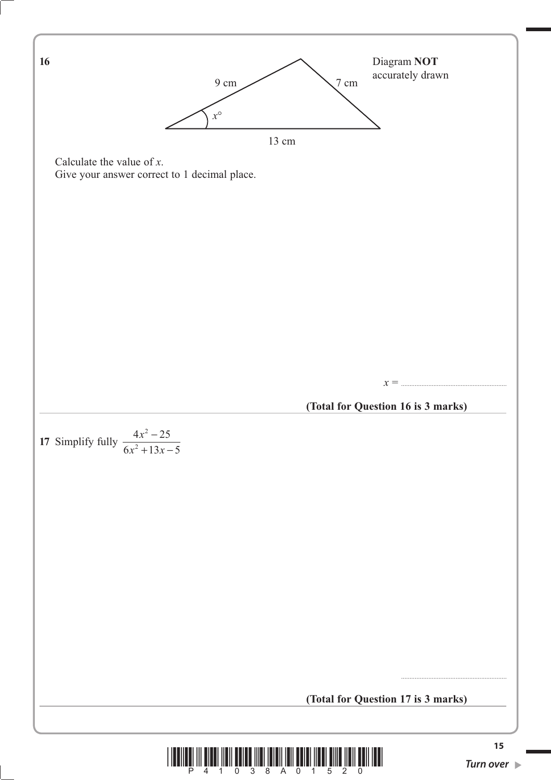

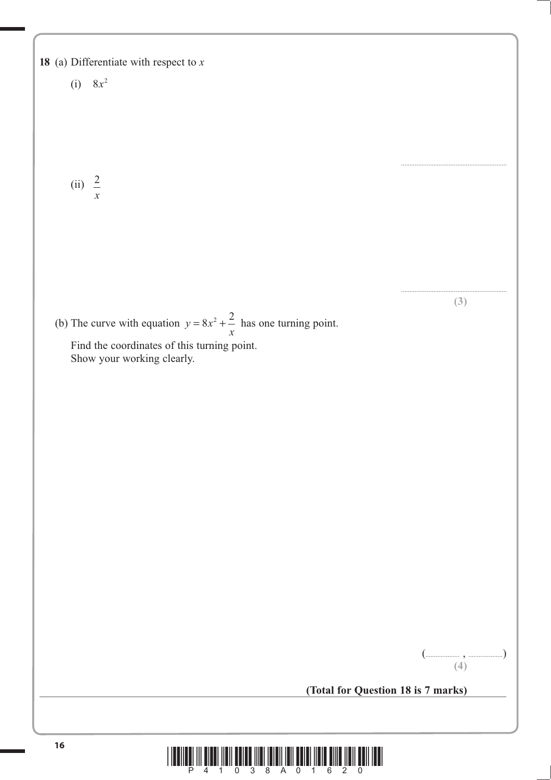

**(3)**

**(4)**

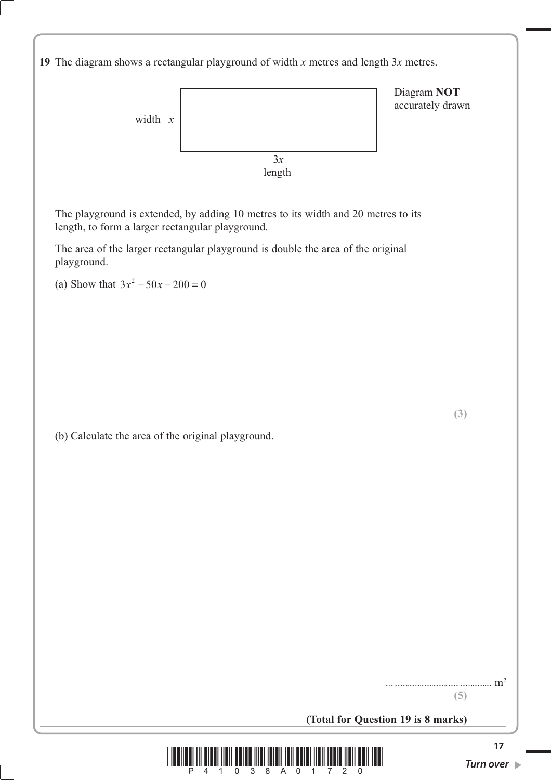

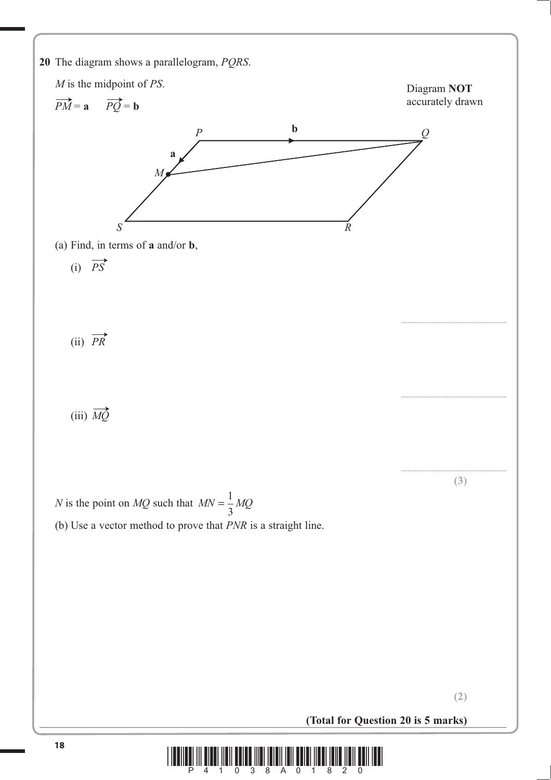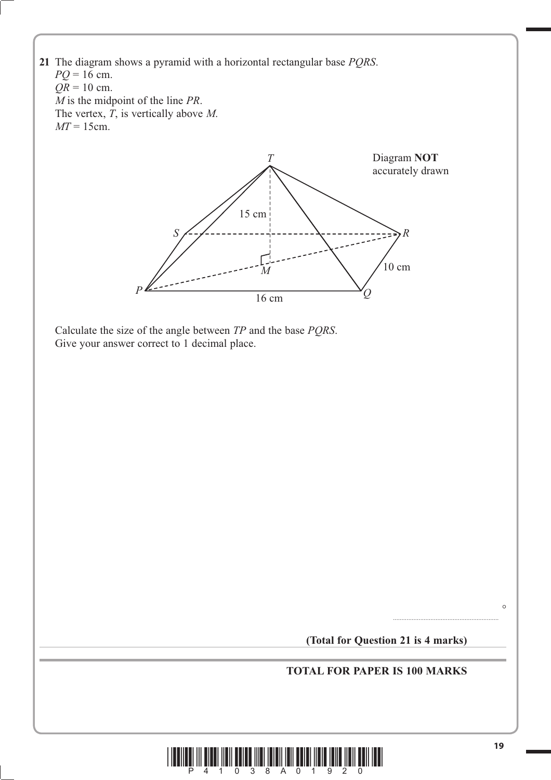



 $\circ$